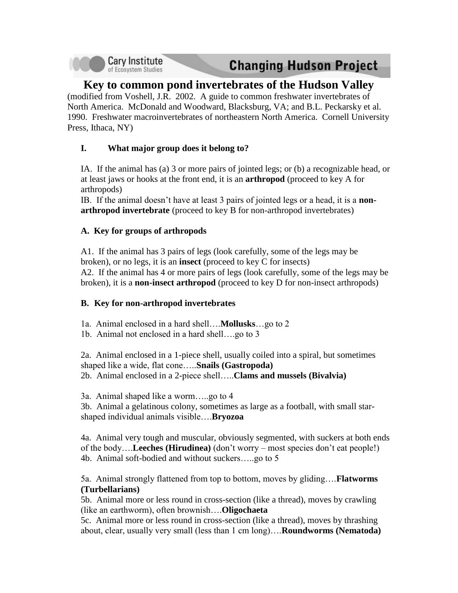

# **Changing Hudson Project**

# **Key to common pond invertebrates of the Hudson Valley**

(modified from Voshell, J.R. 2002. A guide to common freshwater invertebrates of North America. McDonald and Woodward, Blacksburg, VA; and B.L. Peckarsky et al. 1990. Freshwater macroinvertebrates of northeastern North America. Cornell University Press, Ithaca, NY)

## **I. What major group does it belong to?**

IA. If the animal has (a) 3 or more pairs of jointed legs; or (b) a recognizable head, or at least jaws or hooks at the front end, it is an **arthropod** (proceed to key A for arthropods)

IB. If the animal doesn't have at least 3 pairs of jointed legs or a head, it is a **nonarthropod invertebrate** (proceed to key B for non-arthropod invertebrates)

## **A. Key for groups of arthropods**

A1. If the animal has 3 pairs of legs (look carefully, some of the legs may be broken), or no legs, it is an **insect** (proceed to key C for insects) A2. If the animal has 4 or more pairs of legs (look carefully, some of the legs may be broken), it is a **non-insect arthropod** (proceed to key D for non-insect arthropods)

#### **B. Key for non-arthropod invertebrates**

- 1a. Animal enclosed in a hard shell….**Mollusks**…go to 2
- 1b. Animal not enclosed in a hard shell….go to 3

2a. Animal enclosed in a 1-piece shell, usually coiled into a spiral, but sometimes shaped like a wide, flat cone…..**Snails (Gastropoda)** 2b. Animal enclosed in a 2-piece shell…..**Clams and mussels (Bivalvia)**

3a. Animal shaped like a worm…..go to 4

3b. Animal a gelatinous colony, sometimes as large as a football, with small starshaped individual animals visible….**Bryozoa**

4a. Animal very tough and muscular, obviously segmented, with suckers at both ends of the body….**Leeches (Hirudinea)** (don't worry – most species don't eat people!) 4b. Animal soft-bodied and without suckers…..go to 5

5a. Animal strongly flattened from top to bottom, moves by gliding….**Flatworms (Turbellarians)**

5b. Animal more or less round in cross-section (like a thread), moves by crawling (like an earthworm), often brownish….**Oligochaeta**

5c. Animal more or less round in cross-section (like a thread), moves by thrashing about, clear, usually very small (less than 1 cm long)….**Roundworms (Nematoda)**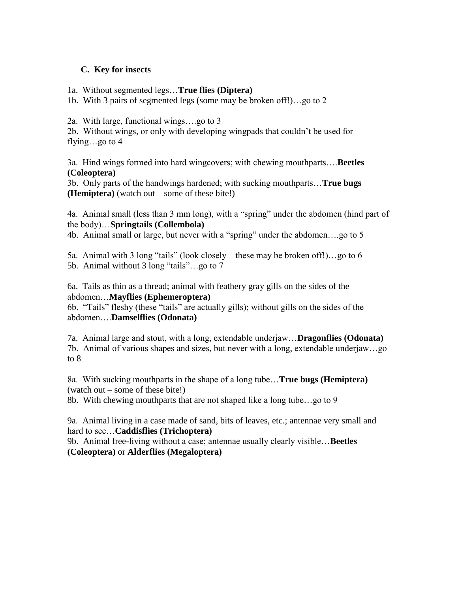#### **C. Key for insects**

1a. Without segmented legs…**True flies (Diptera)**

1b. With 3 pairs of segmented legs (some may be broken off!)…go to 2

2a. With large, functional wings….go to 3

2b. Without wings, or only with developing wingpads that couldn't be used for flying…go to 4

3a. Hind wings formed into hard wingcovers; with chewing mouthparts….**Beetles (Coleoptera)**

3b. Only parts of the handwings hardened; with sucking mouthparts…**True bugs (Hemiptera)** (watch out – some of these bite!)

4a. Animal small (less than 3 mm long), with a "spring" under the abdomen (hind part of the body)…**Springtails (Collembola)**

4b. Animal small or large, but never with a "spring" under the abdomen….go to 5

5a. Animal with 3 long "tails" (look closely – these may be broken off!)…go to 6 5b. Animal without 3 long "tails"...go to 7

6a. Tails as thin as a thread; animal with feathery gray gills on the sides of the abdomen…**Mayflies (Ephemeroptera)**

6b. "Tails" fleshy (these "tails" are actually gills); without gills on the sides of the abdomen….**Damselflies (Odonata)**

7a. Animal large and stout, with a long, extendable underjaw…**Dragonflies (Odonata)** 7b. Animal of various shapes and sizes, but never with a long, extendable underjaw…go to 8

8a. With sucking mouthparts in the shape of a long tube…**True bugs (Hemiptera)** (watch out – some of these bite!)

8b. With chewing mouthparts that are not shaped like a long tube…go to 9

9a. Animal living in a case made of sand, bits of leaves, etc.; antennae very small and hard to see…**Caddisflies (Trichoptera)**

9b. Animal free-living without a case; antennae usually clearly visible…**Beetles (Coleoptera)** or **Alderflies (Megaloptera)**